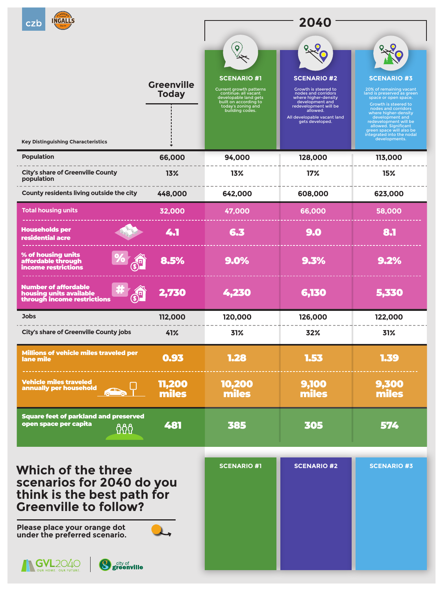



**City's share of Greenville County population**

| County residents living outside the city                                                                                                                                                                                                                                                                                          | 448,000 | 642,000 | 608,000                   | 623,000      |
|-----------------------------------------------------------------------------------------------------------------------------------------------------------------------------------------------------------------------------------------------------------------------------------------------------------------------------------|---------|---------|---------------------------|--------------|
| <b>Total housing units</b>                                                                                                                                                                                                                                                                                                        | 32,000  | 47,000  | 66,000                    | 58,000       |
| <b>Households per</b><br><b>residential acre</b>                                                                                                                                                                                                                                                                                  | 41      | SAL     | $\mathcal{L}(\mathbf{0})$ | $\mathbf{B}$ |
| % of housing units<br>affordable through<br>income restrictions                                                                                                                                                                                                                                                                   | 8.5%    | 9.0%    | 9.3%                      | 9.2%         |
| <b>Number of affordable</b><br><u>and the set of the set of the set of the set of the set of the set of the set of the set of the set of the set of the set of the set of the set of the set of the set of the set of the set of the set of the set of the set </u><br>$\frac{1}{\sqrt{2}}$<br>in a st<br>housing units available | 2,730   | 4,230   | 6,130                     | 5,330        |
| <b>Jobs</b>                                                                                                                                                                                                                                                                                                                       | 112,000 | 120,000 | 126,000                   | 122,000      |
| <b>City's share of Greenville County jobs</b>                                                                                                                                                                                                                                                                                     | 41%     | 31%     | 32%                       | 31%          |
| <b>Millions of vehicle miles traveled per</b><br>lane mile                                                                                                                                                                                                                                                                        | 0.93    | 1.28    | 1.53                      | 159          |